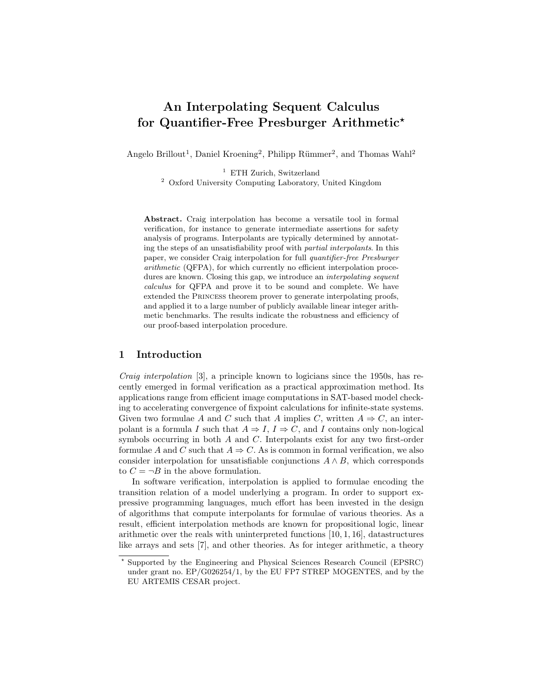# An Interpolating Sequent Calculus for Quantifier-Free Presburger Arithmetic<sup>\*</sup>

Angelo Brillout<sup>1</sup>, Daniel Kroening<sup>2</sup>, Philipp Rümmer<sup>2</sup>, and Thomas Wahl<sup>2</sup>

<sup>1</sup> ETH Zurich, Switzerland

<sup>2</sup> Oxford University Computing Laboratory, United Kingdom

Abstract. Craig interpolation has become a versatile tool in formal verification, for instance to generate intermediate assertions for safety analysis of programs. Interpolants are typically determined by annotating the steps of an unsatisfiability proof with partial interpolants. In this paper, we consider Craig interpolation for full quantifier-free Presburger arithmetic (QFPA), for which currently no efficient interpolation procedures are known. Closing this gap, we introduce an *interpolating sequent* calculus for QFPA and prove it to be sound and complete. We have extended the Princess theorem prover to generate interpolating proofs, and applied it to a large number of publicly available linear integer arithmetic benchmarks. The results indicate the robustness and efficiency of our proof-based interpolation procedure.

# 1 Introduction

Craig interpolation [3], a principle known to logicians since the 1950s, has recently emerged in formal verification as a practical approximation method. Its applications range from efficient image computations in SAT-based model checking to accelerating convergence of fixpoint calculations for infinite-state systems. Given two formulae A and C such that A implies C, written  $A \Rightarrow C$ , an interpolant is a formula I such that  $A \Rightarrow I, I \Rightarrow C$ , and I contains only non-logical symbols occurring in both A and C. Interpolants exist for any two first-order formulae A and C such that  $A \Rightarrow C$ . As is common in formal verification, we also consider interpolation for unsatisfiable conjunctions  $A \wedge B$ , which corresponds to  $C = \neg B$  in the above formulation.

In software verification, interpolation is applied to formulae encoding the transition relation of a model underlying a program. In order to support expressive programming languages, much effort has been invested in the design of algorithms that compute interpolants for formulae of various theories. As a result, efficient interpolation methods are known for propositional logic, linear arithmetic over the reals with uninterpreted functions [10, 1, 16], datastructures like arrays and sets [7], and other theories. As for integer arithmetic, a theory

<sup>?</sup> Supported by the Engineering and Physical Sciences Research Council (EPSRC) under grant no. EP/G026254/1, by the EU FP7 STREP MOGENTES, and by the EU ARTEMIS CESAR project.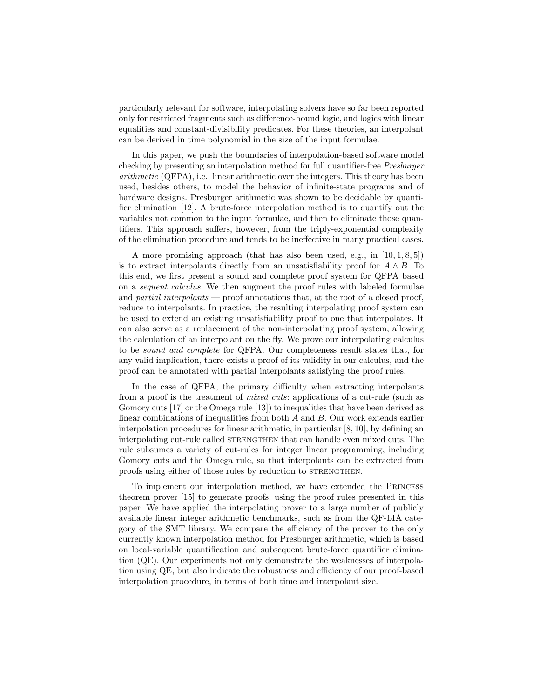particularly relevant for software, interpolating solvers have so far been reported only for restricted fragments such as difference-bound logic, and logics with linear equalities and constant-divisibility predicates. For these theories, an interpolant can be derived in time polynomial in the size of the input formulae.

In this paper, we push the boundaries of interpolation-based software model checking by presenting an interpolation method for full quantifier-free Presburger arithmetic (QFPA), i.e., linear arithmetic over the integers. This theory has been used, besides others, to model the behavior of infinite-state programs and of hardware designs. Presburger arithmetic was shown to be decidable by quantifier elimination [12]. A brute-force interpolation method is to quantify out the variables not common to the input formulae, and then to eliminate those quantifiers. This approach suffers, however, from the triply-exponential complexity of the elimination procedure and tends to be ineffective in many practical cases.

A more promising approach (that has also been used, e.g., in  $[10, 1, 8, 5]$ ) is to extract interpolants directly from an unsatisfiability proof for  $A \wedge B$ . To this end, we first present a sound and complete proof system for QFPA based on a sequent calculus. We then augment the proof rules with labeled formulae and partial interpolants — proof annotations that, at the root of a closed proof, reduce to interpolants. In practice, the resulting interpolating proof system can be used to extend an existing unsatisfiability proof to one that interpolates. It can also serve as a replacement of the non-interpolating proof system, allowing the calculation of an interpolant on the fly. We prove our interpolating calculus to be sound and complete for QFPA. Our completeness result states that, for any valid implication, there exists a proof of its validity in our calculus, and the proof can be annotated with partial interpolants satisfying the proof rules.

In the case of QFPA, the primary difficulty when extracting interpolants from a proof is the treatment of mixed cuts: applications of a cut-rule (such as Gomory cuts [17] or the Omega rule [13]) to inequalities that have been derived as linear combinations of inequalities from both A and B. Our work extends earlier interpolation procedures for linear arithmetic, in particular [8, 10], by defining an interpolating cut-rule called STRENGTHEN that can handle even mixed cuts. The rule subsumes a variety of cut-rules for integer linear programming, including Gomory cuts and the Omega rule, so that interpolants can be extracted from proofs using either of those rules by reduction to STRENGTHEN.

To implement our interpolation method, we have extended the Princess theorem prover [15] to generate proofs, using the proof rules presented in this paper. We have applied the interpolating prover to a large number of publicly available linear integer arithmetic benchmarks, such as from the QF-LIA category of the SMT library. We compare the efficiency of the prover to the only currently known interpolation method for Presburger arithmetic, which is based on local-variable quantification and subsequent brute-force quantifier elimination (QE). Our experiments not only demonstrate the weaknesses of interpolation using QE, but also indicate the robustness and efficiency of our proof-based interpolation procedure, in terms of both time and interpolant size.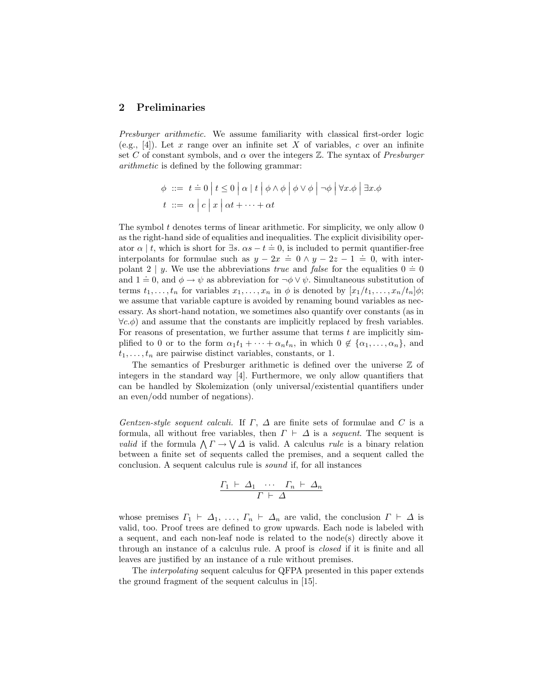# 2 Preliminaries

Presburger arithmetic. We assume familiarity with classical first-order logic (e.g., [4]). Let x range over an infinite set X of variables, c over an infinite set C of constant symbols, and  $\alpha$  over the integers  $\mathbb{Z}$ . The syntax of Presburger arithmetic is defined by the following grammar:

$$
\begin{aligned}\n\phi &\ ::= \ t \doteq 0 \mid t \leq 0 \mid \alpha \mid t \mid \phi \wedge \phi \mid \phi \vee \phi \mid \neg \phi \mid \forall x. \phi \mid \exists x. \phi \\
t &\ ::= \alpha \mid c \mid x \mid \alpha t + \dots + \alpha t\n\end{aligned}
$$

The symbol  $t$  denotes terms of linear arithmetic. For simplicity, we only allow  $0$ as the right-hand side of equalities and inequalities. The explicit divisibility operator  $\alpha \mid t$ , which is short for  $\exists s$ .  $\alpha s - t = 0$ , is included to permit quantifier-free interpolants for formulae such as  $y - 2x = 0 \land y - 2z - 1 = 0$ , with interpolant 2 | y. We use the abbreviations *true* and *false* for the equalities  $0 = 0$ and  $1 = 0$ , and  $\phi \to \psi$  as abbreviation for  $\neg \phi \lor \psi$ . Simultaneous substitution of terms  $t_1, \ldots, t_n$  for variables  $x_1, \ldots, x_n$  in  $\phi$  is denoted by  $[x_1/t_1, \ldots, x_n/t_n]\phi;$ we assume that variable capture is avoided by renaming bound variables as necessary. As short-hand notation, we sometimes also quantify over constants (as in  $\forall c.\phi$  and assume that the constants are implicitly replaced by fresh variables. For reasons of presentation, we further assume that terms  $t$  are implicitly simplified to 0 or to the form  $\alpha_1 t_1 + \cdots + \alpha_n t_n$ , in which  $0 \notin {\alpha_1, \ldots, \alpha_n}$ , and  $t_1, \ldots, t_n$  are pairwise distinct variables, constants, or 1.

The semantics of Presburger arithmetic is defined over the universe  $Z$  of integers in the standard way [4]. Furthermore, we only allow quantifiers that can be handled by Skolemization (only universal/existential quantifiers under an even/odd number of negations).

Gentzen-style sequent calculi. If  $\Gamma$ ,  $\Delta$  are finite sets of formulae and C is a formula, all without free variables, then  $\Gamma \vdash \Delta$  is a sequent. The sequent is *valid* if the formula  $\bigwedge \Gamma \to \bigvee \Delta$  is valid. A calculus *rule* is a binary relation between a finite set of sequents called the premises, and a sequent called the conclusion. A sequent calculus rule is sound if, for all instances

$$
\frac{\Gamma_1 \ \vdash \ \varDelta_1 \ \ \cdots \ \ \Gamma_n \ \vdash \ \varDelta_n}{\Gamma \ \vdash \ \varDelta}
$$

whose premises  $\Gamma_1 \vdash \Delta_1, \ldots, \Gamma_n \vdash \Delta_n$  are valid, the conclusion  $\Gamma \vdash \Delta$  is valid, too. Proof trees are defined to grow upwards. Each node is labeled with a sequent, and each non-leaf node is related to the node(s) directly above it through an instance of a calculus rule. A proof is closed if it is finite and all leaves are justified by an instance of a rule without premises.

The interpolating sequent calculus for QFPA presented in this paper extends the ground fragment of the sequent calculus in [15].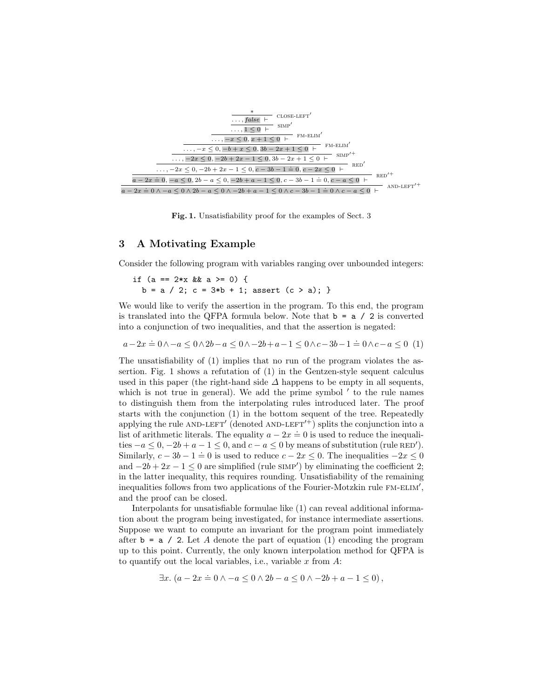

Fig. 1. Unsatisfiability proof for the examples of Sect. 3

## 3 A Motivating Example

Consider the following program with variables ranging over unbounded integers:

if  $(a == 2*x & a >= 0)$  {  $b = a / 2$ ;  $c = 3 * b + 1$ ; assert  $(c > a)$ ; }

We would like to verify the assertion in the program. To this end, the program is translated into the QFPA formula below. Note that  $\mathbf{b} = \mathbf{a} / 2$  is converted into a conjunction of two inequalities, and that the assertion is negated:

 $a-2x \doteq 0 \wedge -a \leq 0 \wedge 2b-a \leq 0 \wedge -2b+a-1 \leq 0 \wedge c-3b-1 \doteq 0 \wedge c-a \leq 0$  (1)

The unsatisfiability of (1) implies that no run of the program violates the assertion. Fig. 1 shows a refutation of (1) in the Gentzen-style sequent calculus used in this paper (the right-hand side  $\Delta$  happens to be empty in all sequents, which is not true in general). We add the prime symbol  $\prime$  to the rule names to distinguish them from the interpolating rules introduced later. The proof starts with the conjunction (1) in the bottom sequent of the tree. Repeatedly applying the rule AND-LEFT' (denoted AND-LEFT'<sup>+</sup>) splits the conjunction into a list of arithmetic literals. The equality  $a - 2x = 0$  is used to reduce the inequalities  $-a \leq 0$ ,  $-2b + a - 1 \leq 0$ , and  $c - a \leq 0$  by means of substitution (rule RED'). Similarly,  $c - 3b - 1 = 0$  is used to reduce  $c - 2x \le 0$ . The inequalities  $-2x \le 0$ and  $-2b + 2x - 1 \leq 0$  are simplified (rule SIMP') by eliminating the coefficient 2; in the latter inequality, this requires rounding. Unsatisfiability of the remaining inequalities follows from two applications of the Fourier-Motzkin rule FM-ELIM', and the proof can be closed.

Interpolants for unsatisfiable formulae like (1) can reveal additional information about the program being investigated, for instance intermediate assertions. Suppose we want to compute an invariant for the program point immediately after  $\mathbf{b} = \mathbf{a}$  / 2. Let A denote the part of equation (1) encoding the program up to this point. Currently, the only known interpolation method for QFPA is to quantify out the local variables, i.e., variable  $x$  from  $A$ :

$$
\exists x. (a - 2x \doteq 0 \land -a \le 0 \land 2b - a \le 0 \land -2b + a - 1 \le 0),
$$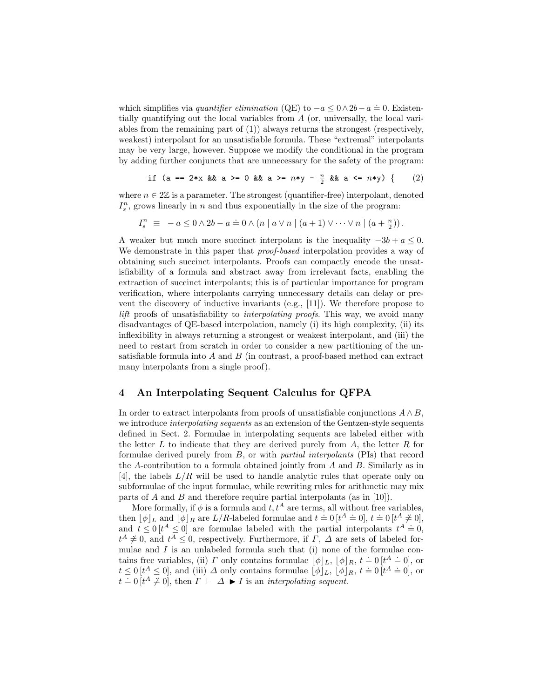which simplifies via *quantifier elimination* (QE) to  $-a \leq 0 \wedge 2b - a = 0$ . Existentially quantifying out the local variables from A (or, universally, the local variables from the remaining part of (1)) always returns the strongest (respectively, weakest) interpolant for an unsatisfiable formula. These "extremal" interpolants may be very large, however. Suppose we modify the conditional in the program by adding further conjuncts that are unnecessary for the safety of the program:

if (a == 2\*x && a >= 0 && a >= n\*y - <sup>n</sup> 2 && a <= n\*y) { (2)

where  $n \in 2\mathbb{Z}$  is a parameter. The strongest (quantifier-free) interpolant, denoted  $I_s^n$ , grows linearly in n and thus exponentially in the size of the program:

$$
I_s^n \equiv -a \leq 0 \wedge 2b - a = 0 \wedge (n \mid a \vee n \mid (a+1) \vee \cdots \vee n \mid (a+\frac{n}{2})).
$$

A weaker but much more succinct interpolant is the inequality  $-3b + a \leq 0$ . We demonstrate in this paper that *proof-based* interpolation provides a way of obtaining such succinct interpolants. Proofs can compactly encode the unsatisfiability of a formula and abstract away from irrelevant facts, enabling the extraction of succinct interpolants; this is of particular importance for program verification, where interpolants carrying unnecessary details can delay or prevent the discovery of inductive invariants (e.g., [11]). We therefore propose to lift proofs of unsatisfiability to *interpolating proofs*. This way, we avoid many disadvantages of QE-based interpolation, namely (i) its high complexity, (ii) its inflexibility in always returning a strongest or weakest interpolant, and (iii) the need to restart from scratch in order to consider a new partitioning of the unsatisfiable formula into  $A$  and  $B$  (in contrast, a proof-based method can extract many interpolants from a single proof).

## 4 An Interpolating Sequent Calculus for QFPA

In order to extract interpolants from proofs of unsatisfiable conjunctions  $A \wedge B$ , we introduce *interpolating sequents* as an extension of the Gentzen-style sequents defined in Sect. 2. Formulae in interpolating sequents are labeled either with the letter  $L$  to indicate that they are derived purely from  $A$ , the letter  $R$  for formulae derived purely from B, or with partial interpolants (PIs) that record the A-contribution to a formula obtained jointly from A and B. Similarly as in [4], the labels  $L/R$  will be used to handle analytic rules that operate only on subformulae of the input formulae, while rewriting rules for arithmetic may mix parts of A and B and therefore require partial interpolants (as in [10]).

More formally, if  $\phi$  is a formula and  $t, t^A$  are terms, all without free variables, then  $[\![\phi]\!]_L$  and  $[\![\phi]\!]_R$  are  $L/R$ -labeled formulae and  $t = 0$   $[t^A \doteq 0]$ ,  $t = 0$   $[t^A \neq 0]$ , and  $t \leq 0$  [t<sup>A</sup>  $\leq$  0] are formulae labeled with the partial interpolants  $t^A \doteq 0$ , and  $t \leq 0$  [t<sup>A</sup>  $\leq$  0] are formulae labeled with the partial interpolants  $t^A \doteq 0$ ,  $t^A \neq 0$ , and  $t^A \leq 0$ , respectively. Furthermore, if  $\Gamma$ ,  $\Delta$  are sets of labeled formulae and  $I$  is an unlabeled formula such that (i) none of the formulae contains free variables, (ii)  $\Gamma$  only contains formulae  $[\phi]_L$ ,  $[\phi]_R$ ,  $t = 0$  [ $t^A = 0$ ], or t  $\leq 0$  [t<sup>A</sup>  $\leq 0$ ], and (iii)  $\Delta$  only contains formulae  $[\phi]_L$ ,  $[\phi]_R$ ,  $t = 0$  [t<sup>A</sup>  $\neq 0$ ], or  $t = 0$  [ $t \le 0$ ], and (iii)  $\Delta$  only contains formulate [ $\varphi$ ] $L$ , [ $\varphi$ ]<br> $t = 0$  [ $t^A \ne 0$ ], then  $\Gamma \vdash \Delta \blacktriangleright I$  is an *interpolating sequent.*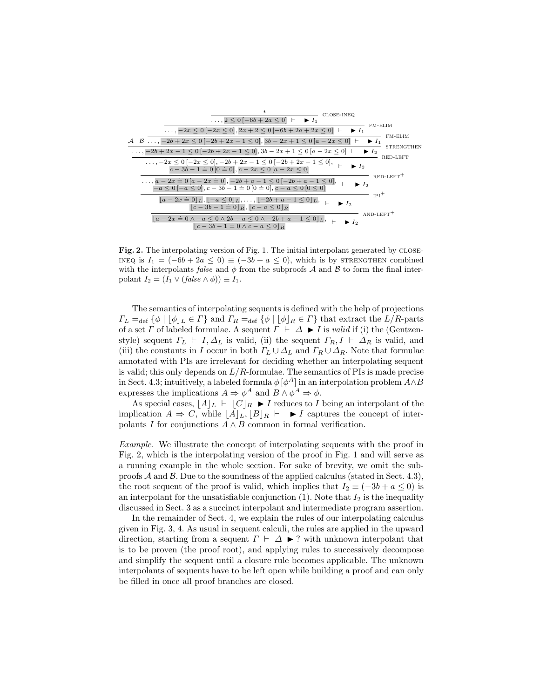

Fig. 2. The interpolating version of Fig. 1. The initial interpolant generated by close-INEQ is  $I_1 = (-6b + 2a \le 0) \equiv (-3b + a \le 0)$ , which is by STRENGTHEN combined with the interpolants false and  $\phi$  from the subproofs A and B to form the final interpolant  $I_2 = (I_1 \vee (false \wedge \phi)) \equiv I_1$ .

The semantics of interpolating sequents is defined with the help of projections  $\Gamma_L =_{\text{def}} {\phi \mid [\phi]_L \in \Gamma}$  and  $\Gamma_R =_{\text{def}} {\phi \mid [\phi]_R \in \Gamma}$  that extract the  $L/R$ -parts of a set  $\Gamma$  of labeled formulae. A sequent  $\Gamma \vdash \Delta \blacktriangleright I$  is valid if (i) the (Gentzenstyle) sequent  $\Gamma_L \vdash I, \Delta_L$  is valid, (ii) the sequent  $\Gamma_R, I \vdash \Delta_R$  is valid, and (iii) the constants in I occur in both  $\Gamma_L \cup \Delta_L$  and  $\Gamma_R \cup \Delta_R$ . Note that formulae annotated with PIs are irrelevant for deciding whether an interpolating sequent is valid; this only depends on  $L/R$ -formulae. The semantics of PIs is made precise in Sect. 4.3; intuitively, a labeled formula  $\phi$   $[\phi^A]$  in an interpolation problem  $A \wedge B$ expresses the implications  $A \Rightarrow \phi^A$  and  $B \wedge \phi^A \Rightarrow \phi$ .

As special cases,  $|A|_L \vdash |C|_R \blacktriangleright I$  reduces to I being an interpolant of the implication  $A \Rightarrow C$ , while  $[A]_L, [B]_R \vdash \blacktriangleright I$  captures the concept of interpolants I for conjunctions  $A \wedge B$  common in formal verification.

Example. We illustrate the concept of interpolating sequents with the proof in Fig. 2, which is the interpolating version of the proof in Fig. 1 and will serve as a running example in the whole section. For sake of brevity, we omit the subproofs  $\mathcal A$  and  $\mathcal B$ . Due to the soundness of the applied calculus (stated in Sect. 4.3), the root sequent of the proof is valid, which implies that  $I_2 \equiv (-3b + a \le 0)$  is an interpolant for the unsatisfiable conjunction  $(1)$ . Note that  $I_2$  is the inequality discussed in Sect. 3 as a succinct interpolant and intermediate program assertion.

In the remainder of Sect. 4, we explain the rules of our interpolating calculus given in Fig. 3, 4. As usual in sequent calculi, the rules are applied in the upward direction, starting from a sequent  $\Gamma \vdash \Delta \blacktriangleright ?$  with unknown interpolant that is to be proven (the proof root), and applying rules to successively decompose and simplify the sequent until a closure rule becomes applicable. The unknown interpolants of sequents have to be left open while building a proof and can only be filled in once all proof branches are closed.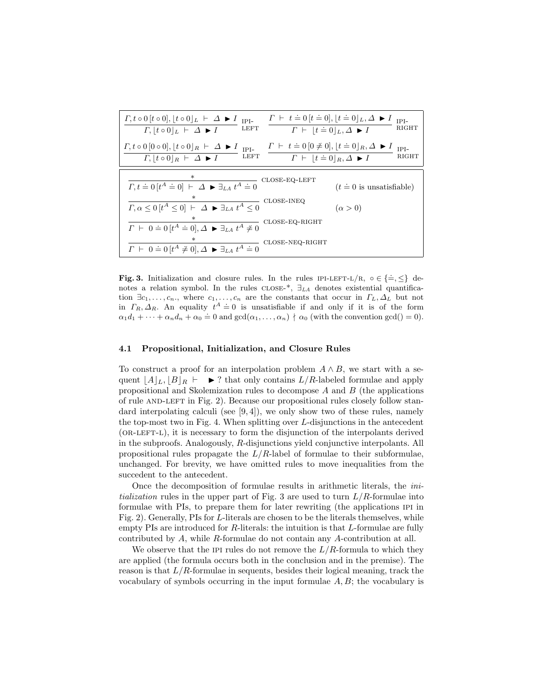| $\Gamma, t \circ 0$ $[t \circ 0], [t \circ 0]$ $L \vdash \Delta \blacktriangleright I$ IPI-<br>LEFT<br>$\Gamma,  t \circ 0 _L \vdash \Delta \blacktriangleright I$<br>$\Gamma \vdash  t=0 _L, \Delta \blacktriangleright I$                                                                                                      | $\Gamma \vdash t = 0   t = 0  ,   t = 0  _L, \Delta \blacktriangleright I$<br>$IPI-$<br>RIGHT |
|----------------------------------------------------------------------------------------------------------------------------------------------------------------------------------------------------------------------------------------------------------------------------------------------------------------------------------|-----------------------------------------------------------------------------------------------|
| $\Gamma \vdash t = 0 \, [0 \neq 0], \,  t = 0 _R, \Delta \blacktriangleright I$<br>$\Gamma, t \circ 0 \, [0 \circ 0], \, [t \circ 0]_R \vdash \Delta \blacktriangleright I_{\text{IPI-}}$<br><b>LEFT</b><br>$\Gamma,  t \circ 0 _R \vdash \Delta \blacktriangleright I$<br>$\Gamma \vdash  t=0 _R, \Delta \blacktriangleright I$ | $IPI-$<br>RIGHT                                                                               |
|                                                                                                                                                                                                                                                                                                                                  |                                                                                               |
| CLOSE-EQ-LEFT<br>$\varGamma,t\doteq0\,[t^{A}\doteq0]\;\vdash\; \overline{\varDelta\blacktriangleright\exists_{LA}\;t^{A}\doteq0}$                                                                                                                                                                                                | $(t \doteq 0$ is unsatisfiable)                                                               |
| CLOSE-INEQ<br>$\varGamma,\alpha\leq 0 \left[ t^{A}\leq0\right] \;\vdash\; \varDelta\; \blacktriangleright\; \exists_{LA}\;t^{A}\leq0$                                                                                                                                                                                            | $(\alpha > 0)$                                                                                |
| $\varGamma~\vdash~0=0\,[t^A=0], \varDelta~\blacktriangleright~\exists_{LA}~t^A\neq 0$ CLOSE-EQ-RIGHT                                                                                                                                                                                                                             |                                                                                               |
| CLOSE-NEQ-RIGHT<br>$\Gamma \vdash 0 = 0$ $[t^A \neq 0], \Delta \blacktriangleright \exists_{LA} t^A = 0$                                                                                                                                                                                                                         |                                                                                               |

**Fig. 3.** Initialization and closure rules. In the rules IPI-LEFT-L/R,  $\circ \in {\frac{\mathbb{1}}{2}} \times$  denotes a relation symbol. In the rules  $\text{cLOSE-*, } \exists_{LA}$  denotes existential quantification  $\exists c_1, \ldots, c_n$ , where  $c_1, \ldots, c_n$  are the constants that occur in  $\Gamma_L, \Delta_L$  but not in  $\Gamma_R, \Delta_R$ . An equality  $t^A \doteq 0$  is unsatisfiable if and only if it is of the form  $\alpha_1 d_1 + \cdots + \alpha_n d_n + \alpha_0 \doteq 0$  and  $\gcd(\alpha_1, \ldots, \alpha_n) \nmid \alpha_0$  (with the convention  $\gcd() = 0$ ).

#### 4.1 Propositional, Initialization, and Closure Rules

To construct a proof for an interpolation problem  $A \wedge B$ , we start with a sequent  $\|A\|_L, \|B\|_R \vdash \triangleright$ ? that only contains  $L/R$ -labeled formulae and apply propositional and Skolemization rules to decompose  $A$  and  $B$  (the applications of rule AND-LEFT in Fig. 2). Because our propositional rules closely follow standard interpolating calculi (see  $(9, 4)$ ), we only show two of these rules, namely the top-most two in Fig. 4. When splitting over L-disjunctions in the antecedent (or-left-l), it is necessary to form the disjunction of the interpolants derived in the subproofs. Analogously, R-disjunctions yield conjunctive interpolants. All propositional rules propagate the  $L/R$ -label of formulae to their subformulae, unchanged. For brevity, we have omitted rules to move inequalities from the succedent to the antecedent.

Once the decomposition of formulae results in arithmetic literals, the initialization rules in the upper part of Fig. 3 are used to turn  $L/R$ -formulae into formulae with PIs, to prepare them for later rewriting (the applications ipi in Fig. 2). Generally, PIs for L-literals are chosen to be the literals themselves, while empty PIs are introduced for R-literals: the intuition is that L-formulae are fully contributed by A, while R-formulae do not contain any A-contribution at all.

We observe that the IPI rules do not remove the  $L/R$ -formula to which they are applied (the formula occurs both in the conclusion and in the premise). The reason is that  $L/R$ -formulae in sequents, besides their logical meaning, track the vocabulary of symbols occurring in the input formulae  $A, B$ ; the vocabulary is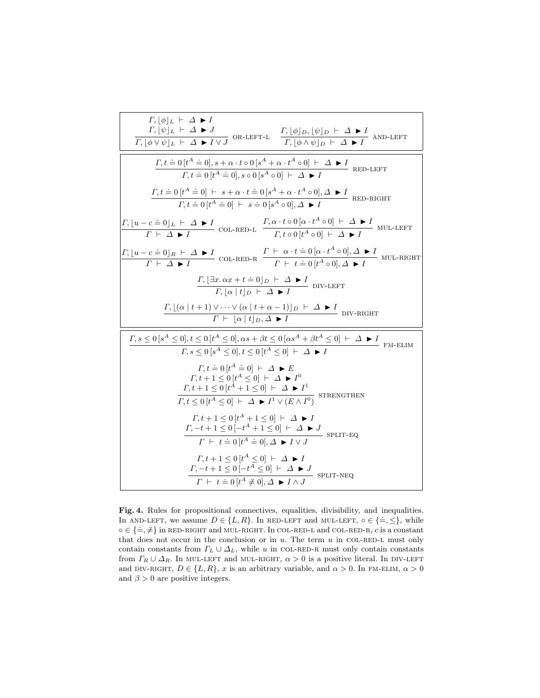| $\Gamma,  \phi _L \vdash \Delta \blacktriangleright I$<br>$\Gamma,  \psi _L \vdash \Delta \blacktriangleright J$<br>$\frac{I; [\psi]_L \vdash \Delta \blacktriangleright J}{\Gamma, [\phi \vee \psi]_L \vdash \Delta \blacktriangleright I \vee J}$ OR-LEFT-L $\frac{\Gamma, [\phi]_D, [\psi]_D \vdash \Delta \blacktriangleright I}{\Gamma, [\phi \wedge \psi]_D \vdash \Delta \blacktriangleright I}$ AND-LEFT |  |
|------------------------------------------------------------------------------------------------------------------------------------------------------------------------------------------------------------------------------------------------------------------------------------------------------------------------------------------------------------------------------------------------------------------|--|
| $\varGamma,t\doteq0\,[t^A\doteq0],s+\alpha\cdot t\circ0\,[s^A+\alpha\cdot t^A\circ0]\ \vdash\ \varDelta\ \blacktriangleright I$<br>RED-LEFT<br>$\Gamma, t = 0$ $[t^A = 0], s \circ 0$ $[s^A \circ 0] \vdash \Delta \blacktriangleright I$                                                                                                                                                                        |  |
| $\Gamma, t = 0$ $[t^A = 0]$ $\vdash s + \alpha \cdot t = 0$ $[s^A + \alpha \cdot t^A \circ 0], \Delta \blacktriangleright I$ RED-RIGHT<br>$\Gamma, t = 0$ $[t^A \doteq 0]$ $\vdash s \doteq 0$ $[s^A \circ 0], \Delta \blacktriangleright I$                                                                                                                                                                     |  |
| $\frac{\Gamma, \lfloor u-c\doteq 0\rfloor_L\ \vdash\ \varDelta\blacktriangleright I}{\Gamma\ \vdash\ \varDelta\blacktriangleright I} \text{ col-RED-L}\quad \frac{\Gamma, \alpha \cdot t\circ 0\,[\alpha \cdot t^A\circ 0]\ \vdash\ \varDelta\blacktriangleright I}{\Gamma, t\circ 0\,[t^A\circ 0]\ \vdash\ \varDelta\blacktriangleright I} \text{ MUL-LEFT}$                                                    |  |
| $\frac{\Gamma, [u-c=0]_R + \Delta \blacktriangleright I}{\Gamma \vdash \Delta \blacktriangleright I}$ COL-RED-R $\frac{\Gamma \vdash \alpha \cdot t = 0 [\alpha \cdot t^A \circ 0], \Delta \blacktriangleright I}{\Gamma \vdash t = 0 [t^A \circ 0], \Delta \blacktriangleright I}$ MUL-RIGHT                                                                                                                    |  |
| $\frac{\Gamma, [\exists x. \alpha x + t \doteq 0]_D \vdash \Delta \blacktriangleright I}{\Gamma,  \alpha  t  _D \vdash \Delta \blacktriangleright I}$ DIV-LEFT                                                                                                                                                                                                                                                   |  |
| $\Gamma$ , $[(\alpha   t + 1) \vee \cdots \vee (\alpha   t + \alpha - 1)]_D \vdash \Delta \blacktriangleright I$ DIV-RIGHT<br>$\overline{\Gamma \vdash  \alpha  t  _{D} \Delta \blacktriangleright I}$                                                                                                                                                                                                           |  |
| $\varGamma,s\leq 0\,[s^A\leq 0],t\leq 0\,[t^A\leq 0],\alpha s+\beta t\leq 0\,[\alpha s^A+\beta t^A\leq 0]\ \vdash\ \varDelta\blacktriangleright I$<br>FM-ELIM<br>$\Gamma, s \leq 0 \left[ s^A \leq 0 \right], t \leq 0 \left[ t^A \leq 0 \right] \vdash \Delta \blacktriangleright I$                                                                                                                            |  |
| $\Gamma, t = 0$ $[t^A \doteq 0]$ $\vdash \Delta \blacktriangleright E$<br>$\Gamma, t+1 \leq 0 \left[ t^A \leq 0 \right] \vdash \Delta \blacktriangleright I^0$<br>$\frac{\Gamma, t+1 \leq 0 \left[ t^A + 1 \leq 0 \right] + \Delta \blacktriangleright I^1}{\Gamma, t \leq 0 \left[ t^A \leq 0 \right] + \Delta \blacktriangleright I^1 \vee (E \wedge I^0)}$ STRENGTHEN                                         |  |
| $\Gamma, t+1 \leq 0 \left[ t^{A} + 1 \leq 0 \right] \vdash \Delta \blacktriangleright I$<br>$\frac{\Gamma, -t+1 \le 0[-t^A+1 \le 0] \vdash \Delta \blacktriangleright J}{\Gamma \vdash t \doteq 0[t^A \doteq 0], \Delta \blacktriangleright I \vee J}$ SPLIT-EQ                                                                                                                                                  |  |
| $\Gamma, t+1 \leq 0 \left[ t^A \leq 0 \right] \vdash \Delta \blacktriangleright I$<br>$\frac{\Gamma, -t + 1 \leq 0 \left[ -t^A \leq 0 \right] + \Delta \blacktriangleright J}{\Delta \blacktriangleleft \Delta \blacktriangleright \Delta \blacktriangleright J}$ SPLIT-NEQ<br>$\Gamma \vdash t = 0$ $[t^A \neq 0], \Delta \blacktriangleright I \wedge J$                                                       |  |

Fig. 4. Rules for propositional connectives, equalities, divisibility, and inequalities. In AND-LEFT, we assume  $D \in \{L, R\}$ . In RED-LEFT and MUL-LEFT,  $\circ \in \{\doteq, \leq\}$ , while  $\alpha \in \{\pm, \neq\}$  in RED-RIGHT and MUL-RIGHT. In COL-RED-L and COL-RED-R, c is a constant that does not occur in the conclusion or in  $u$ . The term  $u$  in COL-RED-L must only contain constants from  $\Gamma_L \cup \Delta_L$ , while u in COL-RED-R must only contain constants from  $\Gamma_R \cup \Delta_R$ . In MUL-LEFT and MUL-RIGHT,  $\alpha > 0$  is a positive literal. In DIV-LEFT and DIV-RIGHT,  $D \in \{L, R\}$ , x is an arbitrary variable, and  $\alpha > 0$ . In FM-ELIM,  $\alpha > 0$ and  $\beta > 0$  are positive integers.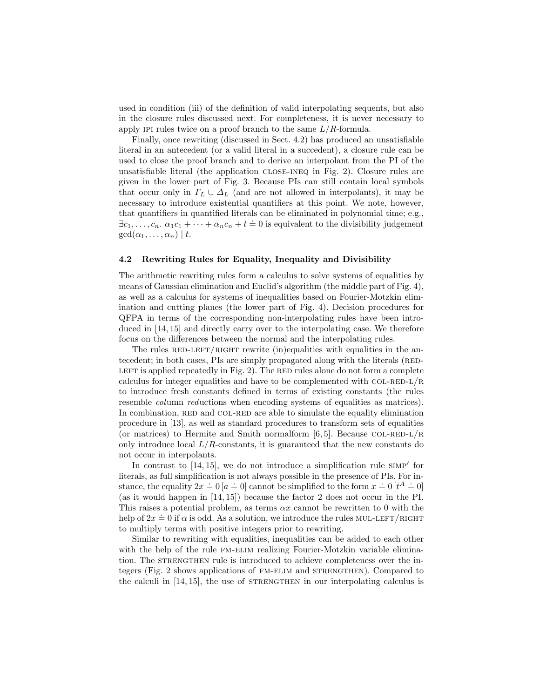used in condition (iii) of the definition of valid interpolating sequents, but also in the closure rules discussed next. For completeness, it is never necessary to apply IPI rules twice on a proof branch to the same  $L/R$ -formula.

Finally, once rewriting (discussed in Sect. 4.2) has produced an unsatisfiable literal in an antecedent (or a valid literal in a succedent), a closure rule can be used to close the proof branch and to derive an interpolant from the PI of the unsatisfiable literal (the application close-ineq in Fig. 2). Closure rules are given in the lower part of Fig. 3. Because PIs can still contain local symbols that occur only in  $\Gamma_L \cup \Delta_L$  (and are not allowed in interpolants), it may be necessary to introduce existential quantifiers at this point. We note, however, that quantifiers in quantified literals can be eliminated in polynomial time; e.g.,  $\exists c_1, \ldots, c_n$ .  $\alpha_1 c_1 + \cdots + \alpha_n c_n + t \doteq 0$  is equivalent to the divisibility judgement  $gcd(\alpha_1, \ldots, \alpha_n) \mid t$ .

## 4.2 Rewriting Rules for Equality, Inequality and Divisibility

The arithmetic rewriting rules form a calculus to solve systems of equalities by means of Gaussian elimination and Euclid's algorithm (the middle part of Fig. 4), as well as a calculus for systems of inequalities based on Fourier-Motzkin elimination and cutting planes (the lower part of Fig. 4). Decision procedures for QFPA in terms of the corresponding non-interpolating rules have been introduced in [14, 15] and directly carry over to the interpolating case. We therefore focus on the differences between the normal and the interpolating rules.

The rules  $RED-LEFT/RIGHT$  rewrite (in)equalities with equalities in the antecedent; in both cases, PIs are simply propagated along with the literals (RED-LEFT is applied repeatedly in Fig. 2). The RED rules alone do not form a complete calculus for integer equalities and have to be complemented with  $COL-RED-L/R$ to introduce fresh constants defined in terms of existing constants (the rules resemble *column reductions* when encoding systems of equalities as matrices). In combination, RED and COL-RED are able to simulate the equality elimination procedure in [13], as well as standard procedures to transform sets of equalities (or matrices) to Hermite and Smith normalform  $[6, 5]$ . Because COL-RED-L/R only introduce local  $L/R$ -constants, it is guaranteed that the new constants do not occur in interpolants.

In contrast to  $[14, 15]$ , we do not introduce a simplification rule  $\text{SIMP}^{\prime}$  for literals, as full simplification is not always possible in the presence of PIs. For instance, the equality  $2x = 0$  [ $a = 0$ ] cannot be simplified to the form  $x = 0$  [ $t^A = 0$ ] (as it would happen in [14, 15]) because the factor 2 does not occur in the PI. This raises a potential problem, as terms  $\alpha x$  cannot be rewritten to 0 with the help of  $2x \doteq 0$  if  $\alpha$  is odd. As a solution, we introduce the rules MUL-LEFT/RIGHT to multiply terms with positive integers prior to rewriting.

Similar to rewriting with equalities, inequalities can be added to each other with the help of the rule FM-ELIM realizing Fourier-Motzkin variable elimination. The STRENGTHEN rule is introduced to achieve completeness over the integers (Fig. 2 shows applications of FM-ELIM and STRENGTHEN). Compared to the calculi in  $[14, 15]$ , the use of STRENGTHEN in our interpolating calculus is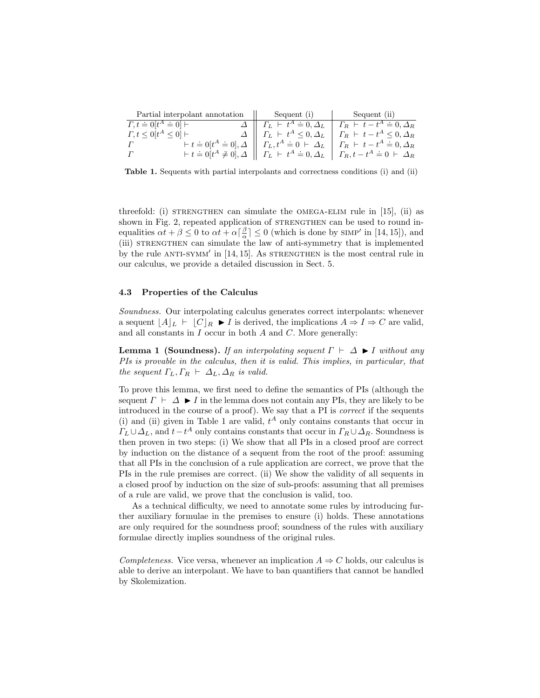| Partial interpolant annotation | Sequent (i) Sequent (ii)                                                                                                                               |
|--------------------------------|--------------------------------------------------------------------------------------------------------------------------------------------------------|
| $T, t \doteq 0[t^A \doteq 0]$  | $\Delta \parallel \Gamma_L \vdash t^A \doteq 0, \Delta_L \parallel \Gamma_R \vdash t - t^A \doteq 0, \Delta_R$                                         |
| $\Gamma, t \leq 0[t^A \leq 0]$ | $\Delta \parallel \Gamma_L \vdash t^A \leq 0, \Delta_L \parallel \Gamma_R \vdash t - t^A \leq 0, \Delta_R$                                             |
|                                | $\mathcal{L} + t \doteq 0[t^A \doteq 0], \Delta \parallel \Gamma_L, t^A \doteq 0 \vdash \Delta_L \parallel \Gamma_R \vdash t - t^A \doteq 0, \Delta_R$ |
| $\Gamma$                       | $\mathcal{L} + t \doteq 0[t^A \neq 0], \Delta \parallel \Gamma_L \vdash t^A \doteq 0, \Delta_L \parallel \Gamma_R, t - t^A \doteq 0 \vdash \Delta_R$   |

Table 1. Sequents with partial interpolants and correctness conditions (i) and (ii)

threefold: (i) STRENGTHEN can simulate the OMEGA-ELIM rule in [15], (ii) as shown in Fig. 2, repeated application of STRENGTHEN can be used to round inequalities  $\alpha t + \beta \leq 0$  to  $\alpha t + \alpha \left\lfloor \frac{\beta}{\alpha} \right\rfloor \leq 0$  (which is done by SIMP' in [14, 15]), and (iii) STRENGTHEN can simulate the law of anti-symmetry that is implemented by the rule  $ANTI-SYMM'$  in [14, 15]. As STRENGTHEN is the most central rule in our calculus, we provide a detailed discussion in Sect. 5.

#### 4.3 Properties of the Calculus

Soundness. Our interpolating calculus generates correct interpolants: whenever a sequent  $|A|_L \vdash |C|_R \blacktriangleright I$  is derived, the implications  $A \Rightarrow I \Rightarrow C$  are valid, and all constants in  $I$  occur in both  $A$  and  $C$ . More generally:

**Lemma 1 (Soundness).** If an interpolating sequent  $\Gamma \vdash \Delta \blacktriangleright I$  without any PIs is provable in the calculus, then it is valid. This implies, in particular, that the sequent  $\Gamma_L, \Gamma_R \vdash \Delta_L, \Delta_R$  is valid.

To prove this lemma, we first need to define the semantics of PIs (although the sequent  $\Gamma \vdash \Delta \blacktriangleright I$  in the lemma does not contain any PIs, they are likely to be introduced in the course of a proof). We say that a PI is correct if the sequents (i) and (ii) given in Table 1 are valid,  $t^A$  only contains constants that occur in  $\Gamma_L \cup \Delta_L$ , and  $t-t^A$  only contains constants that occur in  $\Gamma_R \cup \Delta_R$ . Soundness is then proven in two steps: (i) We show that all PIs in a closed proof are correct by induction on the distance of a sequent from the root of the proof: assuming that all PIs in the conclusion of a rule application are correct, we prove that the PIs in the rule premises are correct. (ii) We show the validity of all sequents in a closed proof by induction on the size of sub-proofs: assuming that all premises of a rule are valid, we prove that the conclusion is valid, too.

As a technical difficulty, we need to annotate some rules by introducing further auxiliary formulae in the premises to ensure (i) holds. These annotations are only required for the soundness proof; soundness of the rules with auxiliary formulae directly implies soundness of the original rules.

Completeness. Vice versa, whenever an implication  $A \Rightarrow C$  holds, our calculus is able to derive an interpolant. We have to ban quantifiers that cannot be handled by Skolemization.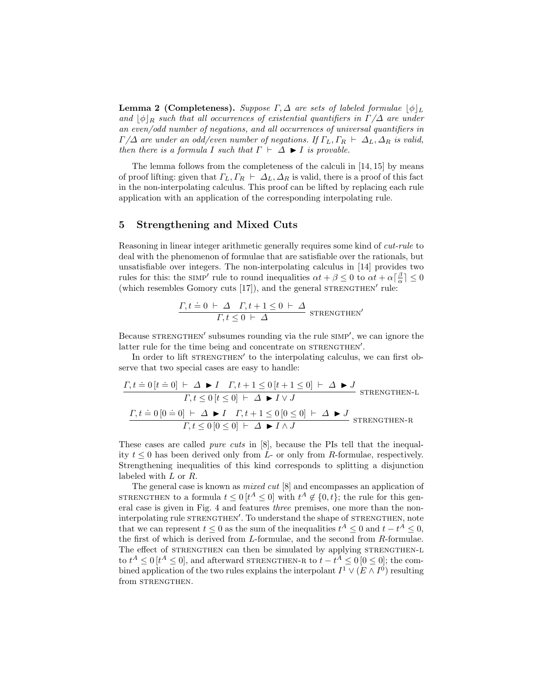**Lemma 2 (Completeness).** Suppose  $\Gamma$ ,  $\Delta$  are sets of labeled formulae  $|\phi|_L$ and  $\phi|_R$  such that all occurrences of existential quantifiers in  $\Gamma/\Delta$  are under an even/odd number of negations, and all occurrences of universal quantifiers in  $\Gamma/\Delta$  are under an odd/even number of negations. If  $\Gamma_L, \Gamma_R \vdash \Delta_L, \Delta_R$  is valid, then there is a formula I such that  $\Gamma \vdash \Delta \blacktriangleright I$  is provable.

The lemma follows from the completeness of the calculi in [14, 15] by means of proof lifting: given that  $\Gamma_L, \Gamma_R \vdash \Delta_L, \Delta_R$  is valid, there is a proof of this fact in the non-interpolating calculus. This proof can be lifted by replacing each rule application with an application of the corresponding interpolating rule.

## 5 Strengthening and Mixed Cuts

Reasoning in linear integer arithmetic generally requires some kind of cut-rule to deal with the phenomenon of formulae that are satisfiable over the rationals, but unsatisfiable over integers. The non-interpolating calculus in [14] provides two rules for this: the SIMP' rule to round inequalities  $\alpha t + \beta \leq 0$  to  $\alpha t + \alpha \lceil \frac{\beta}{\alpha} \rceil \leq 0$ (which resembles Gomory cuts  $[17]$ ), and the general STRENGTHEN' rule:

$$
\frac{\Gamma, t \doteq 0 \ \vdash \ \Delta \quad \Gamma, t + 1 \leq 0 \ \vdash \ \Delta}{\Gamma, t \leq 0 \ \vdash \ \Delta} \ \ \text{stream}
$$

Because STRENGTHEN' subsumes rounding via the rule SIMP', we can ignore the latter rule for the time being and concentrate on STRENGTHEN'.

In order to lift STRENGTHEN' to the interpolating calculus, we can first observe that two special cases are easy to handle:

$$
\begin{aligned} &\underline{I,t\doteq 0\left[t \doteq 0\right] \ \vdash \ \varDelta \blacktriangleright I \quad I,t+1 \leq 0\left[t+1 \leq 0\right] \ \vdash \ \varDelta \blacktriangleright J}_{I,t \leq 0\left[t \leq 0\right] \ \vdash \ \varDelta \blacktriangleright I \ \lor J} \text{STRENGTHEN-L} \\ &\underline{I,t \doteq 0\left[0 \doteq 0\right] \ \vdash \ \varDelta \blacktriangleright I \quad I,t+1 \leq 0\left[0 \leq 0\right] \ \vdash \ \varDelta \blacktriangleright J}_{I,t \leq 0\left[0 \leq 0\right] \ \vdash \ \varDelta \blacktriangleright I \ \land J} \text{STRENGTHEN-R} \end{aligned}
$$

These cases are called *pure cuts* in [8], because the PIs tell that the inequality  $t \leq 0$  has been derived only from L- or only from R-formulae, respectively. Strengthening inequalities of this kind corresponds to splitting a disjunction labeled with L or R.

The general case is known as mixed cut [8] and encompasses an application of STRENGTHEN to a formula  $t \leq 0$   $[t^A \leq 0]$  with  $t^A \notin \{0, t\}$ ; the rule for this general case is given in Fig. 4 and features three premises, one more than the noninterpolating rule STRENGTHEN'. To understand the shape of STRENGTHEN, note that we can represent  $t \leq 0$  as the sum of the inequalities  $t^A \leq 0$  and  $t - t^A \leq 0$ , the first of which is derived from L-formulae, and the second from R-formulae. The effect of STRENGTHEN can then be simulated by applying STRENGTHEN-L to  $t^A \leq 0$  [ $t^A \leq 0$ ], and afterward STRENGTHEN-R to  $t - t^A \leq 0$  [ $0 \leq 0$ ]; the combined application of the two rules explains the interpolant  $I^1 \vee (E \wedge I^0)$  resulting from STRENGTHEN.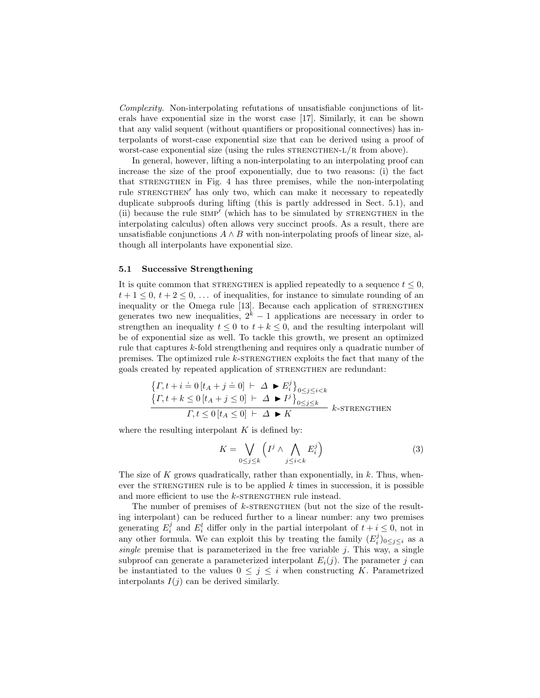Complexity. Non-interpolating refutations of unsatisfiable conjunctions of literals have exponential size in the worst case [17]. Similarly, it can be shown that any valid sequent (without quantifiers or propositional connectives) has interpolants of worst-case exponential size that can be derived using a proof of worst-case exponential size (using the rules  $STRENGTHEN-L/R$  from above).

In general, however, lifting a non-interpolating to an interpolating proof can increase the size of the proof exponentially, due to two reasons: (i) the fact that STRENGTHEN in Fig. 4 has three premises, while the non-interpolating rule STRENGTHEN' has only two, which can make it necessary to repeatedly duplicate subproofs during lifting (this is partly addressed in Sect. 5.1), and (ii) because the rule SIMP<sup>'</sup> (which has to be simulated by STRENGTHEN in the interpolating calculus) often allows very succinct proofs. As a result, there are unsatisfiable conjunctions  $A \wedge B$  with non-interpolating proofs of linear size, although all interpolants have exponential size.

#### 5.1 Successive Strengthening

It is quite common that STRENGTHEN is applied repeatedly to a sequence  $t \leq 0$ ,  $t+1 \leq 0, t+2 \leq 0, \ldots$  of inequalities, for instance to simulate rounding of an inequality or the Omega rule [13]. Because each application of STRENGTHEN generates two new inequalities,  $2^k - 1$  applications are necessary in order to strengthen an inequality  $t \leq 0$  to  $t + k \leq 0$ , and the resulting interpolant will be of exponential size as well. To tackle this growth, we present an optimized rule that captures k-fold strengthening and requires only a quadratic number of premises. The optimized rule  $k$ -STRENGTHEN exploits the fact that many of the goals created by repeated application of STRENGTHEN are redundant:

$$
\begin{aligned} \left\{ \Gamma, t + i \doteq 0 \left[ t_A + j \doteq 0 \right] \ \vdash \ \Delta \ \blacktriangleright E_i^j \right\}_{0 \le j \le i < k} \\ \left\{ \Gamma, t + k \le 0 \left[ t_A + j \le 0 \right] \ \vdash \ \Delta \ \blacktriangleright I^j \right\}_{0 \le j \le k} \\ \hline \Gamma, t \le 0 \left[ t_A \le 0 \right] \ \vdash \ \Delta \ \blacktriangleright K \end{aligned} \quad k\text{-STRENGTHEN}
$$

where the resulting interpolant  $K$  is defined by:

$$
K = \bigvee_{0 \le j \le k} \left( I^j \wedge \bigwedge_{j \le i < k} E_i^j \right) \tag{3}
$$

The size of  $K$  grows quadratically, rather than exponentially, in  $k$ . Thus, whenever the STRENGTHEN rule is to be applied  $k$  times in succession, it is possible and more efficient to use the  $k$ -STRENGTHEN rule instead.

The number of premises of k-STRENGTHEN (but not the size of the resulting interpolant) can be reduced further to a linear number: any two premises generating  $E_i^j$  and  $E_i^l$  differ only in the partial interpolant of  $t + i \leq 0$ , not in any other formula. We can exploit this by treating the family  $(E_i^j)_{0 \leq j \leq i}$  as a single premise that is parameterized in the free variable  $j$ . This way, a single subproof can generate a parameterized interpolant  $E_i(i)$ . The parameter j can be instantiated to the values  $0 \leq j \leq i$  when constructing K. Parametrized interpolants  $I(j)$  can be derived similarly.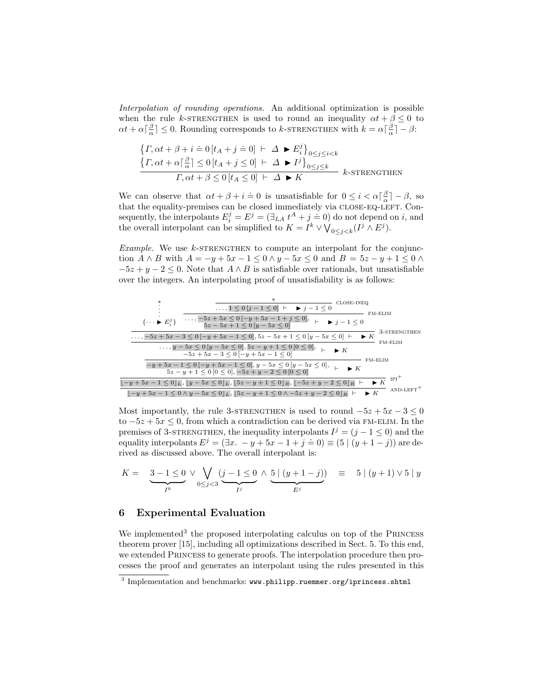Interpolation of rounding operations. An additional optimization is possible when the rule k-strengthen is used to round an inequality  $\alpha t + \beta \leq 0$  to  $\alpha t + \alpha \left[\frac{\beta}{\alpha}\right] \leq 0$ . Rounding corresponds to k-STRENGTHEN with  $k = \alpha \left[\frac{\beta}{\alpha}\right] - \beta$ :

$$
\begin{aligned}\n\left\{ \Gamma, \alpha t + \beta + i &= 0 \left[ t_A + j &= 0 \right] \ \vdash \ \Delta \ \blacktriangleright E_i^j \right\}_{0 \le j \le i < k} \\
\frac{\left\{ \Gamma, \alpha t + \alpha \right\} \frac{\beta}{\alpha} \right\} &\le 0 \left[ t_A + j \le 0 \right] \ \vdash \ \Delta \ \blacktriangleright I^j \right\}_{0 \le j \le k} \\
\frac{\Gamma, \alpha t + \beta \le 0 \left[ t_A \le 0 \right] \ \vdash \ \Delta \ \blacktriangleright K} \\
\end{aligned}
$$
 k-streamform

We can observe that  $\alpha t + \beta + i \doteq 0$  is unsatisfiable for  $0 \leq i < \alpha \lceil \frac{\beta}{\alpha} \rceil - \beta$ , so that the equality-premises can be closed immediately via CLOSE-EQ-LEFT. Consequently, the interpolants  $E_i^j = E^j = (\exists_{LA} t^A + j = 0)$  do not depend on i, and the overall interpolant can be simplified to  $K = I^k \vee \bigvee_{0 \leq j < k} (I^j \wedge E^j)$ .

Example. We use  $k$ -strengthen to compute an interpolant for the conjunction  $A \wedge B$  with  $A = -y + 5x - 1 \leq 0 \wedge y - 5x \leq 0$  and  $B = 5z - y + 1 \leq 0 \wedge y - 5x$  $-5z + y - 2 \leq 0$ . Note that  $A \wedge B$  is satisfiable over rationals, but unsatisfiable over the integers. An interpolating proof of unsatisfiability is as follows:



Most importantly, the rule 3-STRENGTHEN is used to round  $-5z + 5x - 3 \le 0$ to  $-5z + 5x \leq 0$ , from which a contradiction can be derived via FM-ELIM. In the premises of 3-STRENGTHEN, the inequality interpolants  $I^j = (j - 1 \le 0)$  and the equality interpolants  $E^j = (\exists x. -y + 5x - 1 + j = 0) \equiv (5 \mid (y+1-j))$  are derived as discussed above. The overall interpolant is:

$$
K = \underbrace{3 - 1 \leq 0}_{I^k} \vee \bigvee_{0 \leq j < 3} \underbrace{(j - 1 \leq 0 \land \underbrace{5 \mid (y + 1 - j)}_{E^j})}_{E^j} \equiv 5 \mid (y + 1) \vee 5 \mid y
$$

## 6 Experimental Evaluation

We implemented<sup>3</sup> the proposed interpolating calculus on top of the PRINCESS theorem prover [15], including all optimizations described in Sect. 5. To this end, we extended Princess to generate proofs. The interpolation procedure then processes the proof and generates an interpolant using the rules presented in this

 $3$  Implementation and benchmarks: www.philipp.ruemmer.org/iprincess.shtml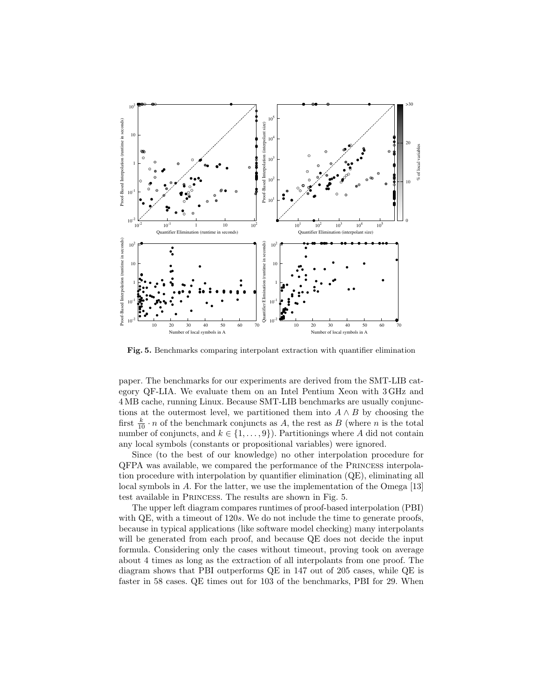

Fig. 5. Benchmarks comparing interpolant extraction with quantifier elimination

paper. The benchmarks for our experiments are derived from the SMT-LIB category QF-LIA. We evaluate them on an Intel Pentium Xeon with 3 GHz and 4 MB cache, running Linux. Because SMT-LIB benchmarks are usually conjunctions at the outermost level, we partitioned them into  $A \wedge B$  by choosing the first  $\frac{k}{10} \cdot n$  of the benchmark conjuncts as A, the rest as B (where n is the total number of conjuncts, and  $k \in \{1, \ldots, 9\}$ . Partitionings where A did not contain any local symbols (constants or propositional variables) were ignored.

Since (to the best of our knowledge) no other interpolation procedure for QFPA was available, we compared the performance of the Princess interpolation procedure with interpolation by quantifier elimination (QE), eliminating all local symbols in A. For the latter, we use the implementation of the Omega [13] test available in Princess. The results are shown in Fig. 5.

The upper left diagram compares runtimes of proof-based interpolation (PBI) with QE, with a timeout of 120s. We do not include the time to generate proofs. because in typical applications (like software model checking) many interpolants will be generated from each proof, and because QE does not decide the input formula. Considering only the cases without timeout, proving took on average about 4 times as long as the extraction of all interpolants from one proof. The diagram shows that PBI outperforms QE in 147 out of 205 cases, while QE is faster in 58 cases. QE times out for 103 of the benchmarks, PBI for 29. When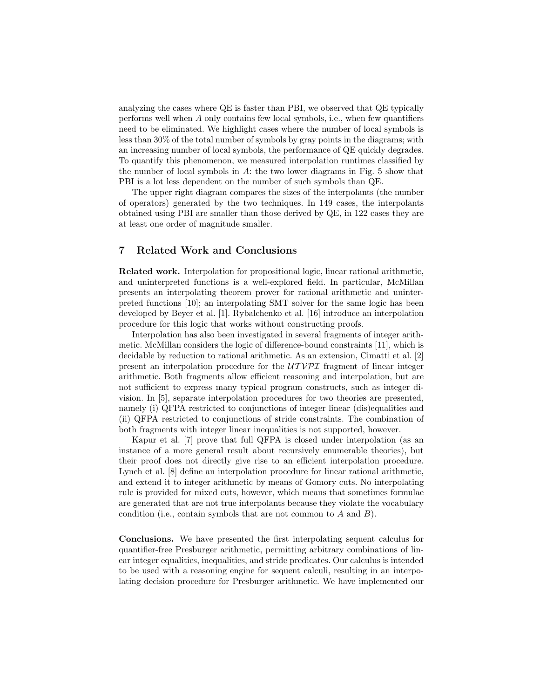analyzing the cases where QE is faster than PBI, we observed that QE typically performs well when A only contains few local symbols, i.e., when few quantifiers need to be eliminated. We highlight cases where the number of local symbols is less than 30% of the total number of symbols by gray points in the diagrams; with an increasing number of local symbols, the performance of QE quickly degrades. To quantify this phenomenon, we measured interpolation runtimes classified by the number of local symbols in  $A$ : the two lower diagrams in Fig. 5 show that PBI is a lot less dependent on the number of such symbols than QE.

The upper right diagram compares the sizes of the interpolants (the number of operators) generated by the two techniques. In 149 cases, the interpolants obtained using PBI are smaller than those derived by QE, in 122 cases they are at least one order of magnitude smaller.

## 7 Related Work and Conclusions

Related work. Interpolation for propositional logic, linear rational arithmetic, and uninterpreted functions is a well-explored field. In particular, McMillan presents an interpolating theorem prover for rational arithmetic and uninterpreted functions [10]; an interpolating SMT solver for the same logic has been developed by Beyer et al. [1]. Rybalchenko et al. [16] introduce an interpolation procedure for this logic that works without constructing proofs.

Interpolation has also been investigated in several fragments of integer arithmetic. McMillan considers the logic of difference-bound constraints [11], which is decidable by reduction to rational arithmetic. As an extension, Cimatti et al. [2] present an interpolation procedure for the  $UTV\mathcal{PI}$  fragment of linear integer arithmetic. Both fragments allow efficient reasoning and interpolation, but are not sufficient to express many typical program constructs, such as integer division. In [5], separate interpolation procedures for two theories are presented, namely (i) QFPA restricted to conjunctions of integer linear (dis)equalities and (ii) QFPA restricted to conjunctions of stride constraints. The combination of both fragments with integer linear inequalities is not supported, however.

Kapur et al. [7] prove that full QFPA is closed under interpolation (as an instance of a more general result about recursively enumerable theories), but their proof does not directly give rise to an efficient interpolation procedure. Lynch et al. [8] define an interpolation procedure for linear rational arithmetic, and extend it to integer arithmetic by means of Gomory cuts. No interpolating rule is provided for mixed cuts, however, which means that sometimes formulae are generated that are not true interpolants because they violate the vocabulary condition (i.e., contain symbols that are not common to  $A$  and  $B$ ).

Conclusions. We have presented the first interpolating sequent calculus for quantifier-free Presburger arithmetic, permitting arbitrary combinations of linear integer equalities, inequalities, and stride predicates. Our calculus is intended to be used with a reasoning engine for sequent calculi, resulting in an interpolating decision procedure for Presburger arithmetic. We have implemented our